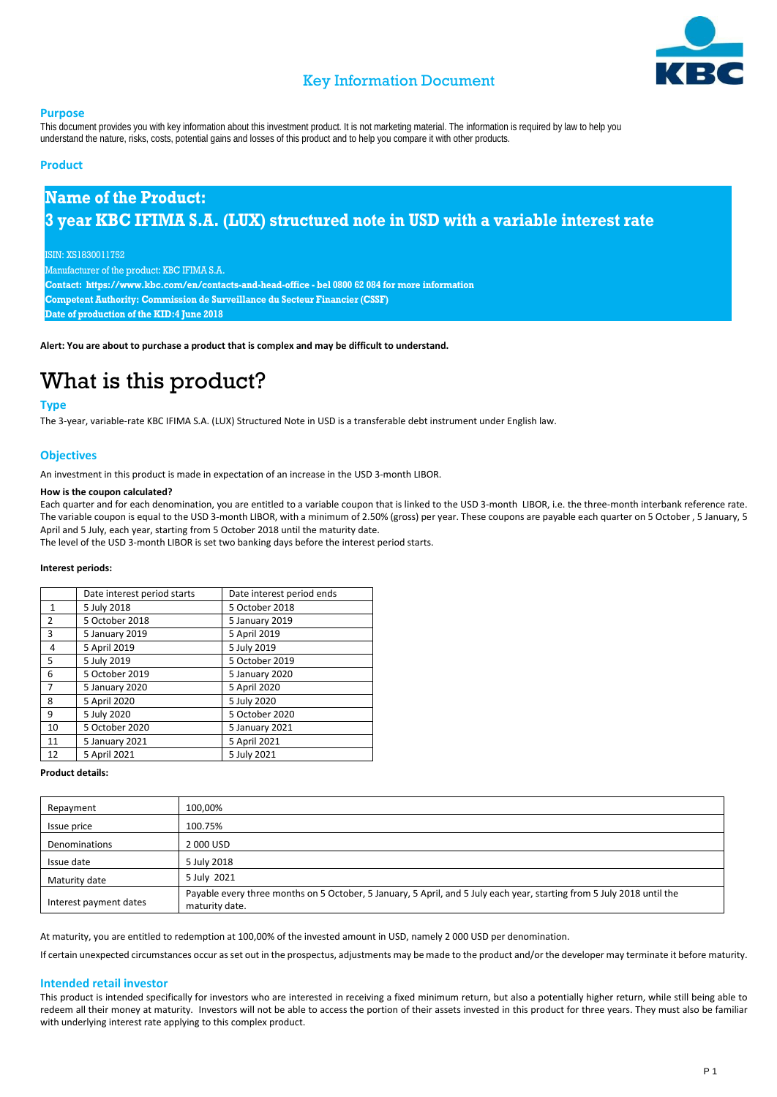

## Key Information Document

#### **Purpose**

This document provides you with key information about this investment product. It is not marketing material. The information is required by law to help you understand the nature, risks, costs, potential gains and losses of this product and to help you compare it with other products.

### **Product**

# **Name of the Product: 3 year KBC IFIMA S.A. (LUX) structured note in USD with a variable interest rate**

ISIN: XS1830011752

Manufacturer of the product: KBC IFIMA S.A.

**Contact: https://www.kbc.com/en/contacts-and-head-office - bel 0800 62 084 for more information**

**Competent Authority: Commission de Surveillance du Secteur Financier (CSSF)**

**Date of production of the KID:4 June 2018**

**Alert: You are about to purchase a product that is complex and may be difficult to understand.**

# What is this product?

### **Type**

The 3-year, variable-rate KBC IFIMA S.A. (LUX) Structured Note in USD is a transferable debt instrument under English law.

### **Objectives**

An investment in this product is made in expectation of an increase in the USD 3-month LIBOR.

#### **How is the coupon calculated?**

Each quarter and for each denomination, you are entitled to a variable coupon that is linked to the USD 3-month LIBOR, i.e. the three-month interbank reference rate. The variable coupon is equal to the USD 3-month LIBOR, with a minimum of 2.50% (gross) per year. These coupons are payable each quarter on 5 October , 5 January, 5 April and 5 July, each year, starting from 5 October 2018 until the maturity date.

The level of the USD 3-month LIBOR is set two banking days before the interest period starts.

#### **Interest periods:**

|                | Date interest period starts | Date interest period ends |
|----------------|-----------------------------|---------------------------|
| $\mathbf{1}$   | 5 July 2018                 | 5 October 2018            |
| $\overline{2}$ | 5 October 2018              | 5 January 2019            |
| 3              | 5 January 2019              | 5 April 2019              |
| 4              | 5 April 2019                | 5 July 2019               |
| 5              | 5 July 2019                 | 5 October 2019            |
| 6              | 5 October 2019              | 5 January 2020            |
| $\overline{7}$ | 5 January 2020              | 5 April 2020              |
| 8              | 5 April 2020                | 5 July 2020               |
| 9              | 5 July 2020                 | 5 October 2020            |
| 10             | 5 October 2020              | 5 January 2021            |
| 11             | 5 January 2021              | 5 April 2021              |
| 12             | 5 April 2021                | 5 July 2021               |

#### **Product details:**

| Repayment              | 100,00%                                                                                                                                  |
|------------------------|------------------------------------------------------------------------------------------------------------------------------------------|
| Issue price            | 100.75%                                                                                                                                  |
| <b>Denominations</b>   | 2000 USD                                                                                                                                 |
| Issue date             | 5 July 2018                                                                                                                              |
| Maturity date          | 5 July 2021                                                                                                                              |
| Interest payment dates | Payable every three months on 5 October, 5 January, 5 April, and 5 July each year, starting from 5 July 2018 until the<br>maturity date. |

At maturity, you are entitled to redemption at 100,00% of the invested amount in USD, namely 2 000 USD per denomination.

If certain unexpected circumstances occur as set out in the prospectus, adjustments may be made to the product and/or the developer may terminate it before maturity.

#### **Intended retail investor**

This product is intended specifically for investors who are interested in receiving a fixed minimum return, but also a potentially higher return, while still being able to redeem all their money at maturity. Investors will not be able to access the portion of their assets invested in this product for three years. They must also be familiar with underlying interest rate applying to this complex product.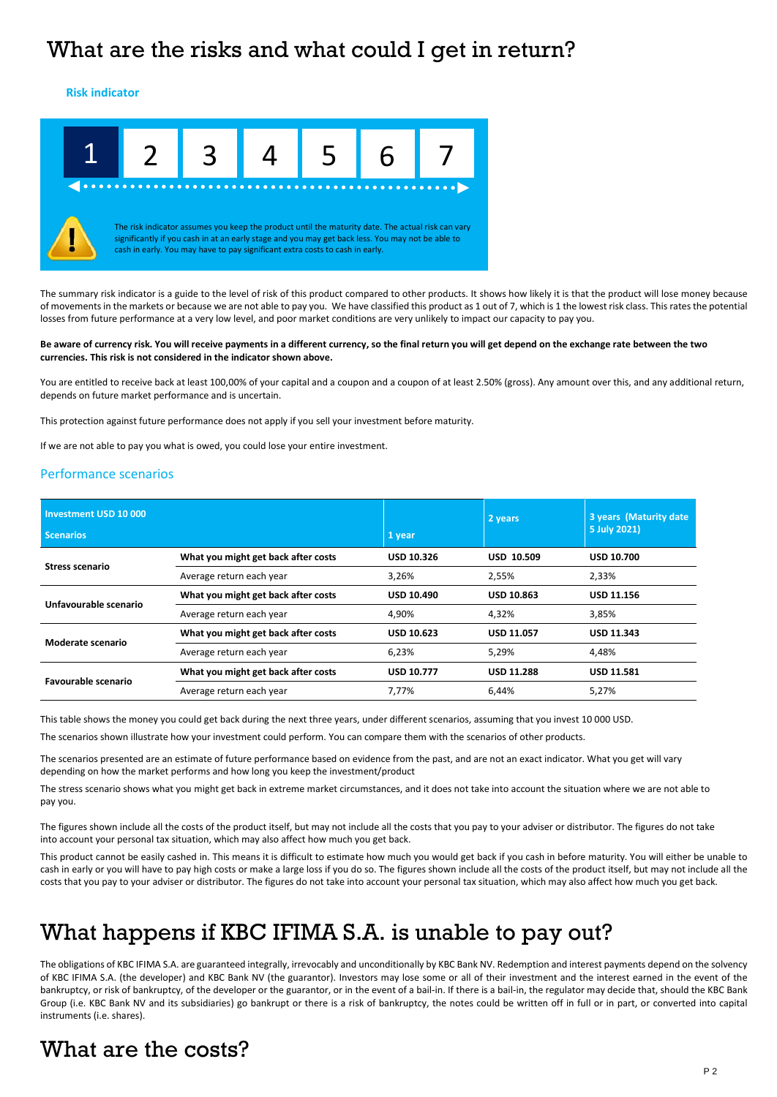# What are the risks and what could I get in return?

**Risk indicator**



The summary risk indicator is a guide to the level of risk of this product compared to other products. It shows how likely it is that the product will lose money because of movements in the markets or because we are not able to pay you. We have classified this product as 1 out of 7, which is 1 the lowest risk class. This rates the potential losses from future performance at a very low level, and poor market conditions are very unlikely to impact our capacity to pay you.

#### **Be aware of currency risk. You will receive payments in a different currency, so the final return you will get depend on the exchange rate between the two currencies. This risk is not considered in the indicator shown above.**

You are entitled to receive back at least 100,00% of your capital and a coupon and a coupon of at least 2.50% (gross). Any amount over this, and any additional return, depends on future market performance and is uncertain.

This protection against future performance does not apply if you sell your investment before maturity.

If we are not able to pay you what is owed, you could lose your entire investment.

### Performance scenarios

| Investment USD 10 000<br><b>Scenarios</b> |                                     | 1 year            | 2 years           | 3 years (Maturity date)<br>5 July 2021) |
|-------------------------------------------|-------------------------------------|-------------------|-------------------|-----------------------------------------|
| <b>Stress scenario</b>                    | What you might get back after costs | <b>USD 10.326</b> | <b>USD 10.509</b> | <b>USD 10.700</b>                       |
|                                           | Average return each year            | 3,26%             | 2,55%             | 2,33%                                   |
| Unfavourable scenario                     | What you might get back after costs | <b>USD 10.490</b> | <b>USD 10.863</b> | <b>USD 11.156</b>                       |
|                                           | Average return each year            | 4,90%             | 4.32%             | 3,85%                                   |
| Moderate scenario                         | What you might get back after costs | <b>USD 10.623</b> | <b>USD 11.057</b> | <b>USD 11.343</b>                       |
|                                           | Average return each year            | 6,23%             | 5,29%             | 4,48%                                   |
| Favourable scenario                       | What you might get back after costs | <b>USD 10.777</b> | <b>USD 11.288</b> | <b>USD 11.581</b>                       |
|                                           | Average return each year            | 7.77%             | 6.44%             | 5,27%                                   |

This table shows the money you could get back during the next three years, under different scenarios, assuming that you invest 10 000 USD.

The scenarios shown illustrate how your investment could perform. You can compare them with the scenarios of other products.

The scenarios presented are an estimate of future performance based on evidence from the past, and are not an exact indicator. What you get will vary depending on how the market performs and how long you keep the investment/product

The stress scenario shows what you might get back in extreme market circumstances, and it does not take into account the situation where we are not able to pay you.

The figures shown include all the costs of the product itself, but may not include all the costs that you pay to your adviser or distributor. The figures do not take into account your personal tax situation, which may also affect how much you get back.

This product cannot be easily cashed in. This means it is difficult to estimate how much you would get back if you cash in before maturity. You will either be unable to cash in early or you will have to pay high costs or make a large loss if you do so. The figures shown include all the costs of the product itself, but may not include all the costs that you pay to your adviser or distributor. The figures do not take into account your personal tax situation, which may also affect how much you get back.

# What happens if KBC IFIMA S.A. is unable to pay out?

The obligations of KBC IFIMA S.A. are guaranteed integrally, irrevocably and unconditionally by KBC Bank NV. Redemption and interest payments depend on the solvency of KBC IFIMA S.A. (the developer) and KBC Bank NV (the guarantor). Investors may lose some or all of their investment and the interest earned in the event of the bankruptcy, or risk of bankruptcy, of the developer or the guarantor, or in the event of a bail-in. If there is a bail-in, the regulator may decide that, should the KBC Bank Group (i.e. KBC Bank NV and its subsidiaries) go bankrupt or there is a risk of bankruptcy, the notes could be written off in full or in part, or converted into capital instruments (i.e. shares).

# What are the costs?